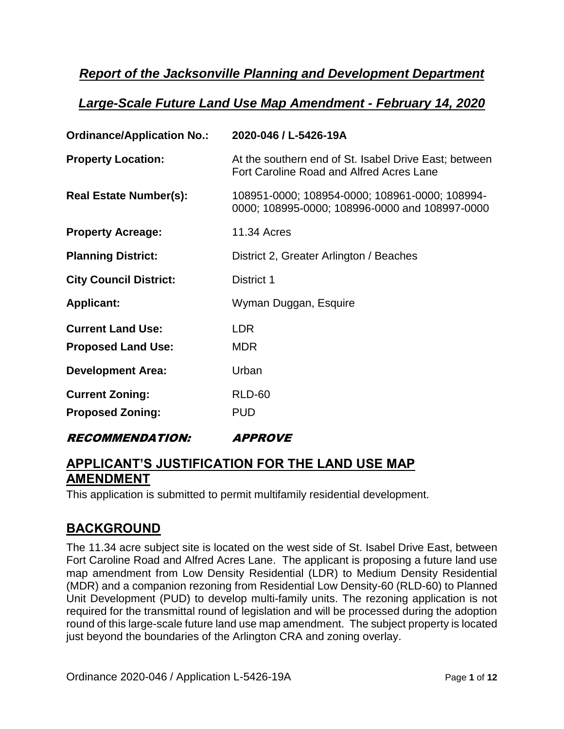# *Report of the Jacksonville Planning and Development Department*

# *Large-Scale Future Land Use Map Amendment - February 14, 2020*

| <b>Ordinance/Application No.:</b>                     | 2020-046 / L-5426-19A                                                                                    |
|-------------------------------------------------------|----------------------------------------------------------------------------------------------------------|
| <b>Property Location:</b>                             | At the southern end of St. Isabel Drive East; between<br><b>Fort Caroline Road and Alfred Acres Lane</b> |
| <b>Real Estate Number(s):</b>                         | 108951-0000; 108954-0000; 108961-0000; 108994-<br>0000; 108995-0000; 108996-0000 and 108997-0000         |
| <b>Property Acreage:</b>                              | <b>11.34 Acres</b>                                                                                       |
| <b>Planning District:</b>                             | District 2, Greater Arlington / Beaches                                                                  |
| <b>City Council District:</b>                         | District 1                                                                                               |
| <b>Applicant:</b>                                     | Wyman Duggan, Esquire                                                                                    |
| <b>Current Land Use:</b><br><b>Proposed Land Use:</b> | <b>LDR</b><br><b>MDR</b>                                                                                 |
| <b>Development Area:</b>                              | Urban                                                                                                    |
| <b>Current Zoning:</b><br><b>Proposed Zoning:</b>     | <b>RLD-60</b><br><b>PUD</b>                                                                              |

### RECOMMENDATION: APPROVE

# **APPLICANT'S JUSTIFICATION FOR THE LAND USE MAP AMENDMENT**

This application is submitted to permit multifamily residential development.

## **BACKGROUND**

The 11.34 acre subject site is located on the west side of St. Isabel Drive East, between Fort Caroline Road and Alfred Acres Lane. The applicant is proposing a future land use map amendment from Low Density Residential (LDR) to Medium Density Residential (MDR) and a companion rezoning from Residential Low Density-60 (RLD-60) to Planned Unit Development (PUD) to develop multi-family units. The rezoning application is not required for the transmittal round of legislation and will be processed during the adoption round of this large-scale future land use map amendment. The subject property is located just beyond the boundaries of the Arlington CRA and zoning overlay.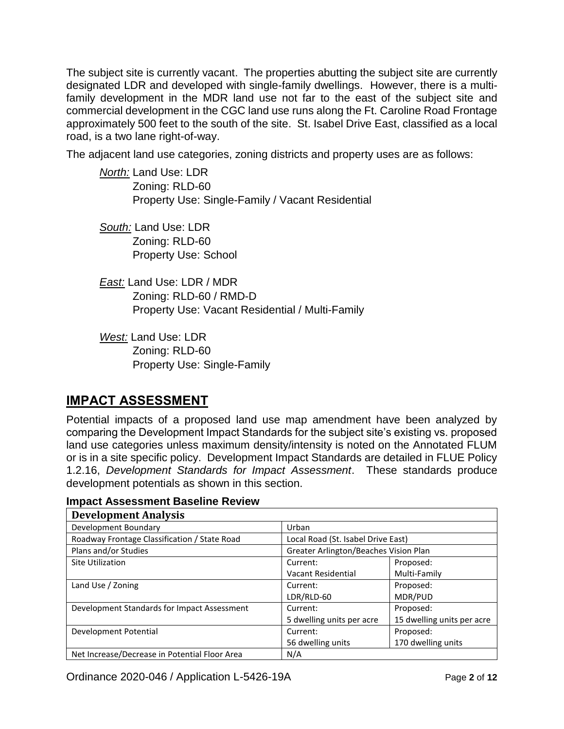The subject site is currently vacant. The properties abutting the subject site are currently designated LDR and developed with single-family dwellings. However, there is a multifamily development in the MDR land use not far to the east of the subject site and commercial development in the CGC land use runs along the Ft. Caroline Road Frontage approximately 500 feet to the south of the site. St. Isabel Drive East, classified as a local road, is a two lane right-of-way.

The adjacent land use categories, zoning districts and property uses are as follows:

*North:* Land Use: LDR Zoning: RLD-60 Property Use: Single-Family / Vacant Residential

*South:* Land Use: LDR Zoning: RLD-60 Property Use: School

*East:* Land Use: LDR / MDR Zoning: RLD-60 / RMD-D Property Use: Vacant Residential / Multi-Family

*West:* Land Use: LDR Zoning: RLD-60 Property Use: Single-Family

# **IMPACT ASSESSMENT**

Potential impacts of a proposed land use map amendment have been analyzed by comparing the Development Impact Standards for the subject site's existing vs. proposed land use categories unless maximum density/intensity is noted on the Annotated FLUM or is in a site specific policy. Development Impact Standards are detailed in FLUE Policy 1.2.16, *Development Standards for Impact Assessment*. These standards produce development potentials as shown in this section.

| <b>Development Analysis</b>                   |                                       |                            |
|-----------------------------------------------|---------------------------------------|----------------------------|
| Development Boundary                          | Urban                                 |                            |
| Roadway Frontage Classification / State Road  | Local Road (St. Isabel Drive East)    |                            |
| Plans and/or Studies                          | Greater Arlington/Beaches Vision Plan |                            |
| Site Utilization                              | Current:                              | Proposed:                  |
|                                               | Vacant Residential                    | Multi-Family               |
| Land Use / Zoning                             | Current:                              | Proposed:                  |
|                                               | LDR/RLD-60                            | MDR/PUD                    |
| Development Standards for Impact Assessment   | Current:                              | Proposed:                  |
|                                               | 5 dwelling units per acre             | 15 dwelling units per acre |
| Development Potential                         | Current:                              | Proposed:                  |
|                                               | 56 dwelling units                     | 170 dwelling units         |
| Net Increase/Decrease in Potential Floor Area | N/A                                   |                            |

### **Impact Assessment Baseline Review**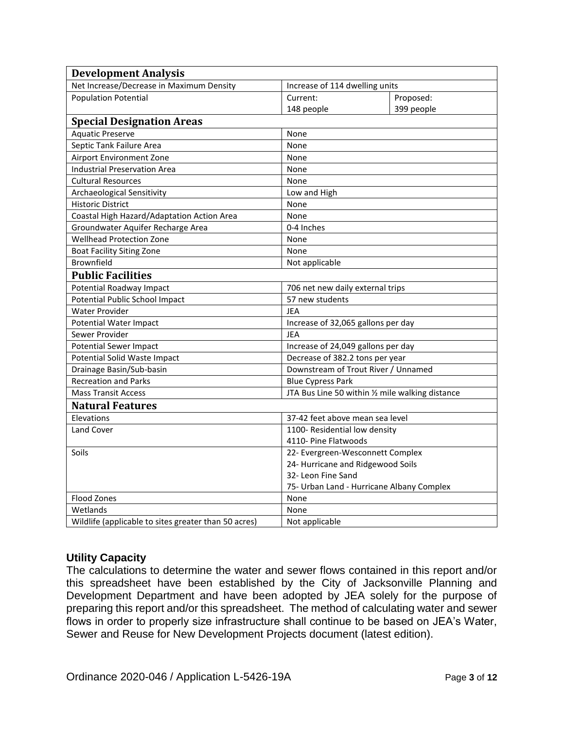| <b>Development Analysis</b>                          |                                                  |  |
|------------------------------------------------------|--------------------------------------------------|--|
| Net Increase/Decrease in Maximum Density             | Increase of 114 dwelling units                   |  |
| <b>Population Potential</b>                          | Proposed:<br>Current:                            |  |
|                                                      | 148 people<br>399 people                         |  |
| <b>Special Designation Areas</b>                     |                                                  |  |
| <b>Aquatic Preserve</b>                              | None                                             |  |
| Septic Tank Failure Area                             | None                                             |  |
| Airport Environment Zone                             | None                                             |  |
| <b>Industrial Preservation Area</b>                  | None                                             |  |
| <b>Cultural Resources</b>                            | None                                             |  |
| Archaeological Sensitivity                           | Low and High                                     |  |
| <b>Historic District</b>                             | None                                             |  |
| Coastal High Hazard/Adaptation Action Area           | None                                             |  |
| Groundwater Aquifer Recharge Area                    | 0-4 Inches                                       |  |
| <b>Wellhead Protection Zone</b><br>None              |                                                  |  |
| <b>Boat Facility Siting Zone</b>                     | None                                             |  |
| Brownfield                                           | Not applicable                                   |  |
| <b>Public Facilities</b>                             |                                                  |  |
| Potential Roadway Impact                             | 706 net new daily external trips                 |  |
| Potential Public School Impact                       | 57 new students                                  |  |
| <b>Water Provider</b>                                | <b>JEA</b>                                       |  |
| Potential Water Impact                               | Increase of 32,065 gallons per day               |  |
| Sewer Provider                                       | JEA                                              |  |
| <b>Potential Sewer Impact</b>                        | Increase of 24,049 gallons per day               |  |
| <b>Potential Solid Waste Impact</b>                  | Decrease of 382.2 tons per year                  |  |
| Drainage Basin/Sub-basin                             | Downstream of Trout River / Unnamed              |  |
| <b>Recreation and Parks</b>                          | <b>Blue Cypress Park</b>                         |  |
| <b>Mass Transit Access</b>                           | JTA Bus Line 50 within 1/2 mile walking distance |  |
| <b>Natural Features</b>                              |                                                  |  |
| Elevations                                           | 37-42 feet above mean sea level                  |  |
| Land Cover                                           | 1100- Residential low density                    |  |
|                                                      | 4110- Pine Flatwoods                             |  |
| Soils                                                | 22- Evergreen-Wesconnett Complex                 |  |
|                                                      | 24- Hurricane and Ridgewood Soils                |  |
|                                                      | 32- Leon Fine Sand                               |  |
|                                                      | 75- Urban Land - Hurricane Albany Complex        |  |
| Flood Zones                                          | None                                             |  |
| Wetlands                                             | None                                             |  |
| Wildlife (applicable to sites greater than 50 acres) | Not applicable                                   |  |

### **Utility Capacity**

The calculations to determine the water and sewer flows contained in this report and/or this spreadsheet have been established by the City of Jacksonville Planning and Development Department and have been adopted by JEA solely for the purpose of preparing this report and/or this spreadsheet. The method of calculating water and sewer flows in order to properly size infrastructure shall continue to be based on JEA's Water, Sewer and Reuse for New Development Projects document (latest edition).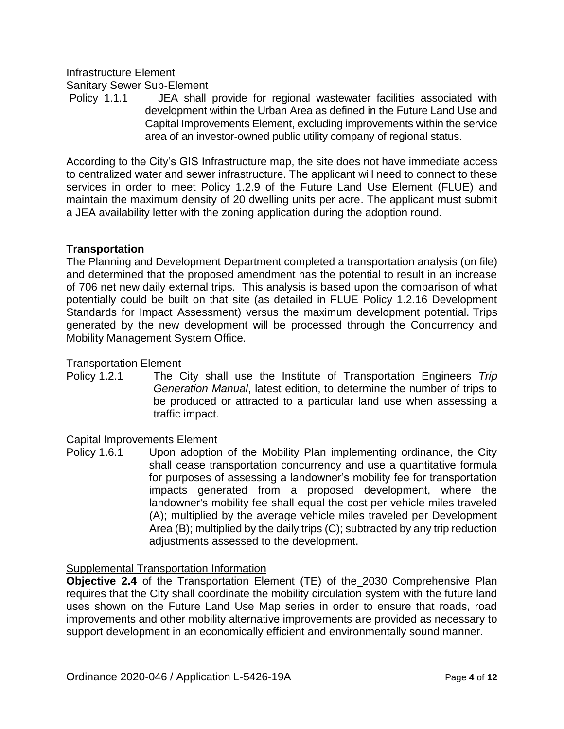### Infrastructure Element Sanitary Sewer Sub-Element

Policy 1.1.1 JEA shall provide for regional wastewater facilities associated with development within the Urban Area as defined in the Future Land Use and Capital Improvements Element, excluding improvements within the service area of an investor-owned public utility company of regional status.

According to the City's GIS Infrastructure map, the site does not have immediate access to centralized water and sewer infrastructure. The applicant will need to connect to these services in order to meet Policy 1.2.9 of the Future Land Use Element (FLUE) and maintain the maximum density of 20 dwelling units per acre. The applicant must submit a JEA availability letter with the zoning application during the adoption round.

### **Transportation**

The Planning and Development Department completed a transportation analysis (on file) and determined that the proposed amendment has the potential to result in an increase of 706 net new daily external trips. This analysis is based upon the comparison of what potentially could be built on that site (as detailed in FLUE Policy 1.2.16 Development Standards for Impact Assessment) versus the maximum development potential. Trips generated by the new development will be processed through the Concurrency and Mobility Management System Office.

#### Transportation Element

Policy 1.2.1 The City shall use the Institute of Transportation Engineers *Trip Generation Manual*, latest edition, to determine the number of trips to be produced or attracted to a particular land use when assessing a traffic impact.

#### Capital Improvements Element

Policy 1.6.1 Upon adoption of the Mobility Plan implementing ordinance, the City shall cease transportation concurrency and use a quantitative formula for purposes of assessing a landowner's mobility fee for transportation impacts generated from a proposed development, where the landowner's mobility fee shall equal the cost per vehicle miles traveled (A); multiplied by the average vehicle miles traveled per Development Area (B); multiplied by the daily trips (C); subtracted by any trip reduction adjustments assessed to the development.

#### Supplemental Transportation Information

**Objective 2.4** of the Transportation Element (TE) of the 2030 Comprehensive Plan requires that the City shall coordinate the mobility circulation system with the future land uses shown on the Future Land Use Map series in order to ensure that roads, road improvements and other mobility alternative improvements are provided as necessary to support development in an economically efficient and environmentally sound manner.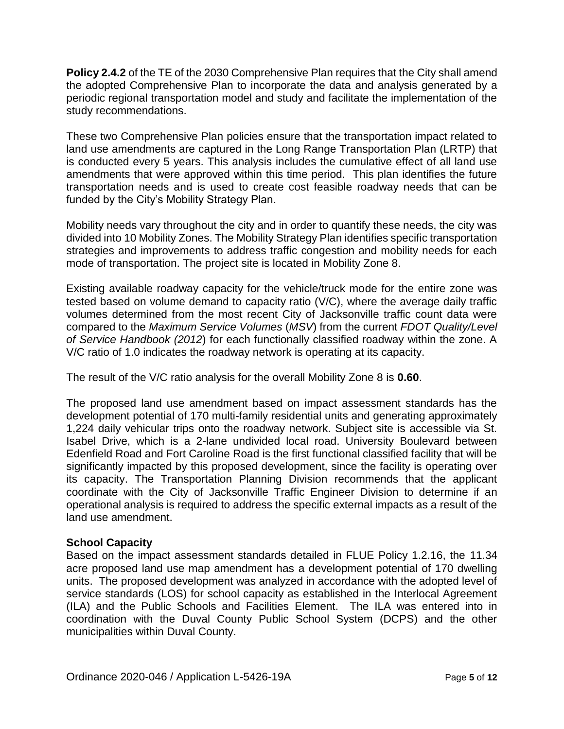**Policy 2.4.2** of the TE of the 2030 Comprehensive Plan requires that the City shall amend the adopted Comprehensive Plan to incorporate the data and analysis generated by a periodic regional transportation model and study and facilitate the implementation of the study recommendations.

These two Comprehensive Plan policies ensure that the transportation impact related to land use amendments are captured in the Long Range Transportation Plan (LRTP) that is conducted every 5 years. This analysis includes the cumulative effect of all land use amendments that were approved within this time period. This plan identifies the future transportation needs and is used to create cost feasible roadway needs that can be funded by the City's Mobility Strategy Plan.

Mobility needs vary throughout the city and in order to quantify these needs, the city was divided into 10 Mobility Zones. The Mobility Strategy Plan identifies specific transportation strategies and improvements to address traffic congestion and mobility needs for each mode of transportation. The project site is located in Mobility Zone 8.

Existing available roadway capacity for the vehicle/truck mode for the entire zone was tested based on volume demand to capacity ratio (V/C), where the average daily traffic volumes determined from the most recent City of Jacksonville traffic count data were compared to the *Maximum Service Volumes* (*MSV*) from the current *FDOT Quality/Level of Service Handbook (2012*) for each functionally classified roadway within the zone. A V/C ratio of 1.0 indicates the roadway network is operating at its capacity.

The result of the V/C ratio analysis for the overall Mobility Zone 8 is **0.60**.

The proposed land use amendment based on impact assessment standards has the development potential of 170 multi-family residential units and generating approximately 1,224 daily vehicular trips onto the roadway network. Subject site is accessible via St. Isabel Drive, which is a 2-lane undivided local road. University Boulevard between Edenfield Road and Fort Caroline Road is the first functional classified facility that will be significantly impacted by this proposed development, since the facility is operating over its capacity. The Transportation Planning Division recommends that the applicant coordinate with the City of Jacksonville Traffic Engineer Division to determine if an operational analysis is required to address the specific external impacts as a result of the land use amendment.

### **School Capacity**

Based on the impact assessment standards detailed in FLUE Policy 1.2.16, the 11.34 acre proposed land use map amendment has a development potential of 170 dwelling units. The proposed development was analyzed in accordance with the adopted level of service standards (LOS) for school capacity as established in the Interlocal Agreement (ILA) and the Public Schools and Facilities Element. The ILA was entered into in coordination with the Duval County Public School System (DCPS) and the other municipalities within Duval County.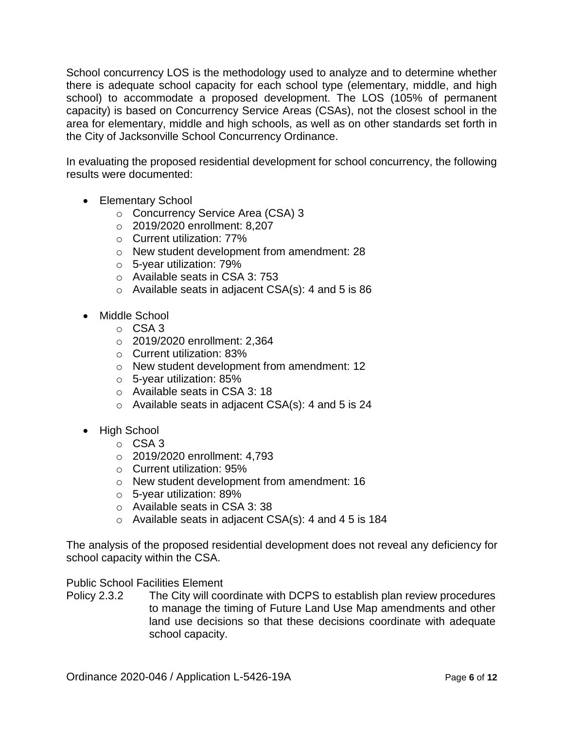School concurrency LOS is the methodology used to analyze and to determine whether there is adequate school capacity for each school type (elementary, middle, and high school) to accommodate a proposed development. The LOS (105% of permanent capacity) is based on Concurrency Service Areas (CSAs), not the closest school in the area for elementary, middle and high schools, as well as on other standards set forth in the City of Jacksonville School Concurrency Ordinance.

In evaluating the proposed residential development for school concurrency, the following results were documented:

- Elementary School
	- o Concurrency Service Area (CSA) 3
	- o 2019/2020 enrollment: 8,207
	- o Current utilization: 77%
	- o New student development from amendment: 28
	- o 5-year utilization: 79%
	- o Available seats in CSA 3: 753
	- $\circ$  Available seats in adjacent CSA(s): 4 and 5 is 86
- Middle School
	- o CSA 3
	- o 2019/2020 enrollment: 2,364
	- o Current utilization: 83%
	- o New student development from amendment: 12
	- o 5-year utilization: 85%
	- o Available seats in CSA 3: 18
	- $\circ$  Available seats in adjacent CSA(s): 4 and 5 is 24
- High School
	- o CSA 3
	- o 2019/2020 enrollment: 4,793
	- o Current utilization: 95%
	- o New student development from amendment: 16
	- o 5-year utilization: 89%
	- o Available seats in CSA 3: 38
	- o Available seats in adjacent CSA(s): 4 and 4 5 is 184

The analysis of the proposed residential development does not reveal any deficiency for school capacity within the CSA.

#### Public School Facilities Element

Policy 2.3.2 The City will coordinate with DCPS to establish plan review procedures to manage the timing of Future Land Use Map amendments and other land use decisions so that these decisions coordinate with adequate school capacity.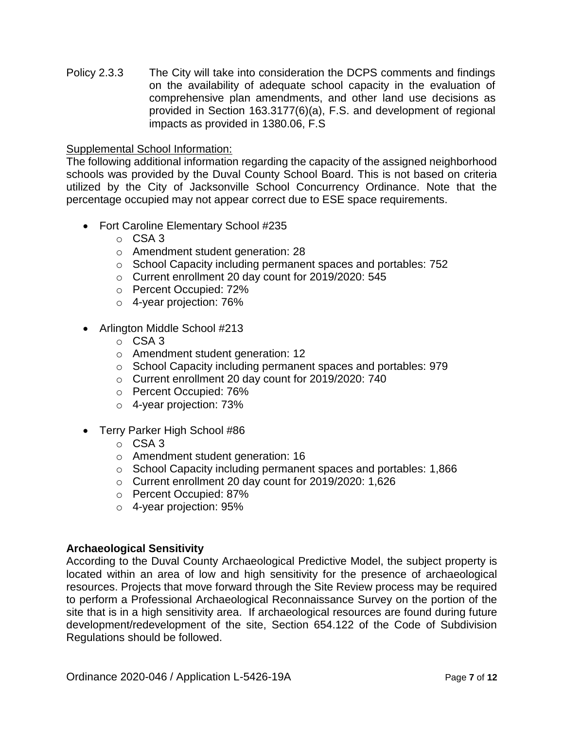Policy 2.3.3 The City will take into consideration the DCPS comments and findings on the availability of adequate school capacity in the evaluation of comprehensive plan amendments, and other land use decisions as provided in Section 163.3177(6)(a), F.S. and development of regional impacts as provided in 1380.06, F.S

#### Supplemental School Information:

The following additional information regarding the capacity of the assigned neighborhood schools was provided by the Duval County School Board. This is not based on criteria utilized by the City of Jacksonville School Concurrency Ordinance. Note that the percentage occupied may not appear correct due to ESE space requirements.

- Fort Caroline Elementary School #235
	- o CSA 3
	- o Amendment student generation: 28
	- o School Capacity including permanent spaces and portables: 752
	- o Current enrollment 20 day count for 2019/2020: 545
	- o Percent Occupied: 72%
	- o 4-year projection: 76%
- Arlington Middle School #213
	- o CSA 3
	- o Amendment student generation: 12
	- o School Capacity including permanent spaces and portables: 979
	- o Current enrollment 20 day count for 2019/2020: 740
	- o Percent Occupied: 76%
	- o 4-year projection: 73%
- Terry Parker High School #86
	- o CSA 3
	- o Amendment student generation: 16
	- o School Capacity including permanent spaces and portables: 1,866
	- o Current enrollment 20 day count for 2019/2020: 1,626
	- o Percent Occupied: 87%
	- o 4-year projection: 95%

#### **Archaeological Sensitivity**

According to the Duval County Archaeological Predictive Model, the subject property is located within an area of low and high sensitivity for the presence of archaeological resources. Projects that move forward through the Site Review process may be required to perform a Professional Archaeological Reconnaissance Survey on the portion of the site that is in a high sensitivity area. If archaeological resources are found during future development/redevelopment of the site, Section 654.122 of the Code of Subdivision Regulations should be followed.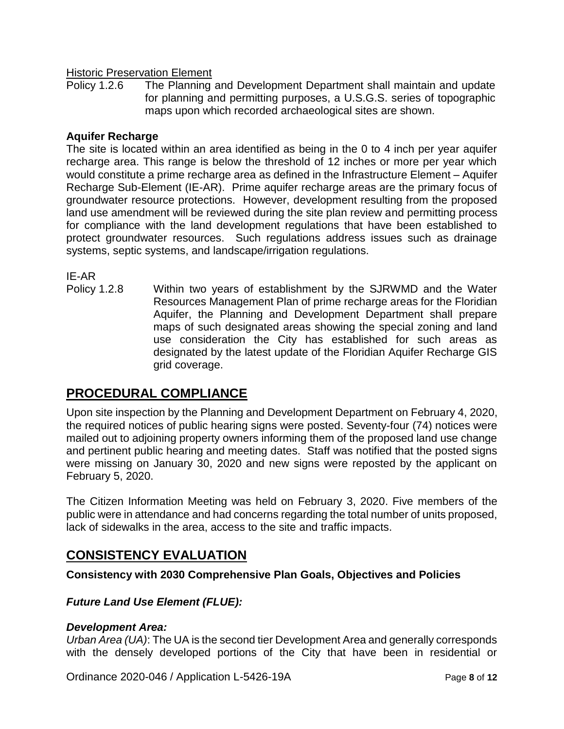#### **Historic Preservation Element**

Policy 1.2.6 The Planning and Development Department shall maintain and update for planning and permitting purposes, a U.S.G.S. series of topographic maps upon which recorded archaeological sites are shown.

#### **Aquifer Recharge**

The site is located within an area identified as being in the 0 to 4 inch per year aquifer recharge area. This range is below the threshold of 12 inches or more per year which would constitute a prime recharge area as defined in the Infrastructure Element – Aquifer Recharge Sub-Element (IE-AR). Prime aquifer recharge areas are the primary focus of groundwater resource protections. However, development resulting from the proposed land use amendment will be reviewed during the site plan review and permitting process for compliance with the land development regulations that have been established to protect groundwater resources. Such regulations address issues such as drainage systems, septic systems, and landscape/irrigation regulations.

IE-AR

Policy 1.2.8 Within two years of establishment by the SJRWMD and the Water Resources Management Plan of prime recharge areas for the Floridian Aquifer, the Planning and Development Department shall prepare maps of such designated areas showing the special zoning and land use consideration the City has established for such areas as designated by the latest update of the Floridian Aquifer Recharge GIS grid coverage.

## **PROCEDURAL COMPLIANCE**

Upon site inspection by the Planning and Development Department on February 4, 2020, the required notices of public hearing signs were posted. Seventy-four (74) notices were mailed out to adjoining property owners informing them of the proposed land use change and pertinent public hearing and meeting dates. Staff was notified that the posted signs were missing on January 30, 2020 and new signs were reposted by the applicant on February 5, 2020.

The Citizen Information Meeting was held on February 3, 2020. Five members of the public were in attendance and had concerns regarding the total number of units proposed, lack of sidewalks in the area, access to the site and traffic impacts.

## **CONSISTENCY EVALUATION**

**Consistency with 2030 Comprehensive Plan Goals, Objectives and Policies**

### *Future Land Use Element (FLUE):*

#### *Development Area:*

*Urban Area (UA)*: The UA is the second tier Development Area and generally corresponds with the densely developed portions of the City that have been in residential or

Ordinance 2020-046 / Application L-5426-19A Page 8 of 12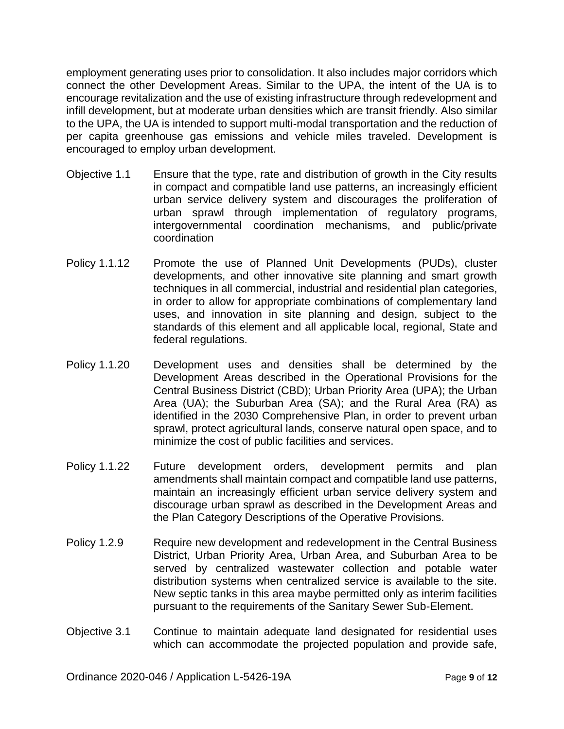employment generating uses prior to consolidation. It also includes major corridors which connect the other Development Areas. Similar to the UPA, the intent of the UA is to encourage revitalization and the use of existing infrastructure through redevelopment and infill development, but at moderate urban densities which are transit friendly. Also similar to the UPA, the UA is intended to support multi-modal transportation and the reduction of per capita greenhouse gas emissions and vehicle miles traveled. Development is encouraged to employ urban development.

- Objective 1.1 Ensure that the type, rate and distribution of growth in the City results in compact and compatible land use patterns, an increasingly efficient urban service delivery system and discourages the proliferation of urban sprawl through implementation of regulatory programs, intergovernmental coordination mechanisms, and public/private coordination
- Policy 1.1.12 Promote the use of Planned Unit Developments (PUDs), cluster developments, and other innovative site planning and smart growth techniques in all commercial, industrial and residential plan categories, in order to allow for appropriate combinations of complementary land uses, and innovation in site planning and design, subject to the standards of this element and all applicable local, regional, State and federal regulations.
- Policy 1.1.20 Development uses and densities shall be determined by the Development Areas described in the Operational Provisions for the Central Business District (CBD); Urban Priority Area (UPA); the Urban Area (UA); the Suburban Area (SA); and the Rural Area (RA) as identified in the 2030 Comprehensive Plan, in order to prevent urban sprawl, protect agricultural lands, conserve natural open space, and to minimize the cost of public facilities and services.
- Policy 1.1.22 Future development orders, development permits and plan amendments shall maintain compact and compatible land use patterns, maintain an increasingly efficient urban service delivery system and discourage urban sprawl as described in the Development Areas and the Plan Category Descriptions of the Operative Provisions.
- Policy 1.2.9 Require new development and redevelopment in the Central Business District, Urban Priority Area, Urban Area, and Suburban Area to be served by centralized wastewater collection and potable water distribution systems when centralized service is available to the site. New septic tanks in this area maybe permitted only as interim facilities pursuant to the requirements of the Sanitary Sewer Sub-Element.
- Objective 3.1 Continue to maintain adequate land designated for residential uses which can accommodate the projected population and provide safe,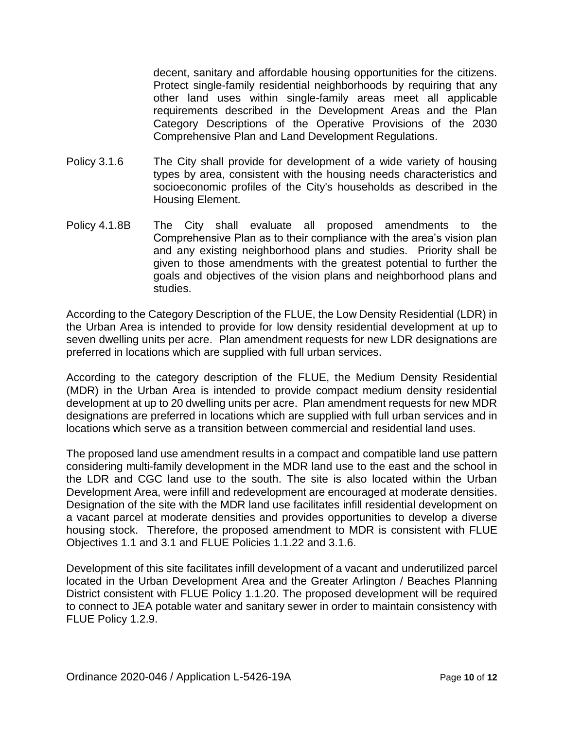decent, sanitary and affordable housing opportunities for the citizens. Protect single-family residential neighborhoods by requiring that any other land uses within single-family areas meet all applicable requirements described in the Development Areas and the Plan Category Descriptions of the Operative Provisions of the 2030 Comprehensive Plan and Land Development Regulations.

- Policy 3.1.6 The City shall provide for development of a wide variety of housing types by area, consistent with the housing needs characteristics and socioeconomic profiles of the City's households as described in the Housing Element.
- Policy 4.1.8B The City shall evaluate all proposed amendments to the Comprehensive Plan as to their compliance with the area's vision plan and any existing neighborhood plans and studies. Priority shall be given to those amendments with the greatest potential to further the goals and objectives of the vision plans and neighborhood plans and studies.

According to the Category Description of the FLUE, the Low Density Residential (LDR) in the Urban Area is intended to provide for low density residential development at up to seven dwelling units per acre. Plan amendment requests for new LDR designations are preferred in locations which are supplied with full urban services.

According to the category description of the FLUE, the Medium Density Residential (MDR) in the Urban Area is intended to provide compact medium density residential development at up to 20 dwelling units per acre. Plan amendment requests for new MDR designations are preferred in locations which are supplied with full urban services and in locations which serve as a transition between commercial and residential land uses.

The proposed land use amendment results in a compact and compatible land use pattern considering multi-family development in the MDR land use to the east and the school in the LDR and CGC land use to the south. The site is also located within the Urban Development Area, were infill and redevelopment are encouraged at moderate densities. Designation of the site with the MDR land use facilitates infill residential development on a vacant parcel at moderate densities and provides opportunities to develop a diverse housing stock. Therefore, the proposed amendment to MDR is consistent with FLUE Objectives 1.1 and 3.1 and FLUE Policies 1.1.22 and 3.1.6.

Development of this site facilitates infill development of a vacant and underutilized parcel located in the Urban Development Area and the Greater Arlington / Beaches Planning District consistent with FLUE Policy 1.1.20. The proposed development will be required to connect to JEA potable water and sanitary sewer in order to maintain consistency with FLUE Policy 1.2.9.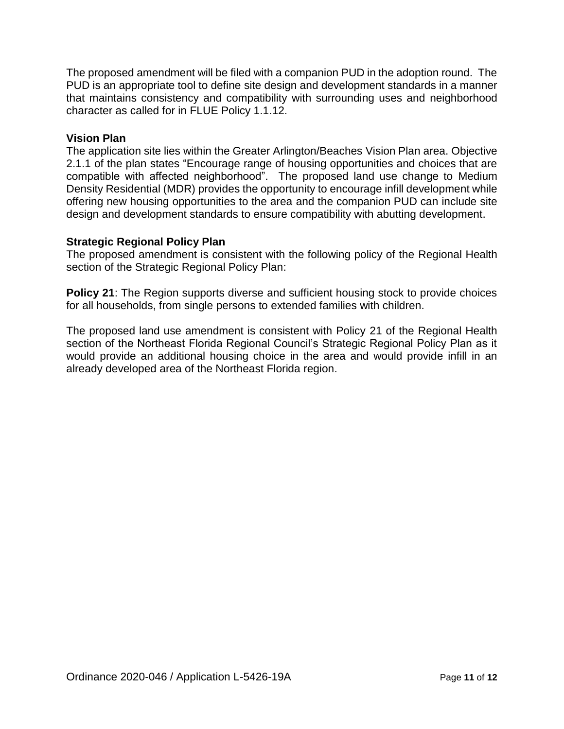The proposed amendment will be filed with a companion PUD in the adoption round. The PUD is an appropriate tool to define site design and development standards in a manner that maintains consistency and compatibility with surrounding uses and neighborhood character as called for in FLUE Policy 1.1.12.

#### **Vision Plan**

The application site lies within the Greater Arlington/Beaches Vision Plan area. Objective 2.1.1 of the plan states "Encourage range of housing opportunities and choices that are compatible with affected neighborhood". The proposed land use change to Medium Density Residential (MDR) provides the opportunity to encourage infill development while offering new housing opportunities to the area and the companion PUD can include site design and development standards to ensure compatibility with abutting development.

#### **Strategic Regional Policy Plan**

The proposed amendment is consistent with the following policy of the Regional Health section of the Strategic Regional Policy Plan:

**Policy 21**: The Region supports diverse and sufficient housing stock to provide choices for all households, from single persons to extended families with children.

The proposed land use amendment is consistent with Policy 21 of the Regional Health section of the Northeast Florida Regional Council's Strategic Regional Policy Plan as it would provide an additional housing choice in the area and would provide infill in an already developed area of the Northeast Florida region.